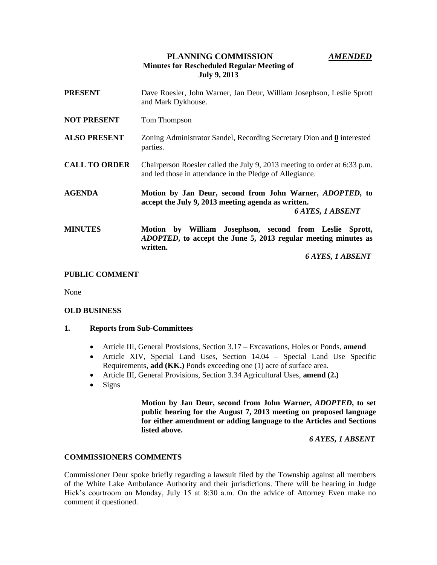# **PLANNING COMMISSION** *AMENDED* **Minutes for Rescheduled Regular Meeting of July 9, 2013**

| <b>PRESENT</b>       | Dave Roesler, John Warner, Jan Deur, William Josephson, Leslie Sprott<br>and Mark Dykhouse.                                                                                 |
|----------------------|-----------------------------------------------------------------------------------------------------------------------------------------------------------------------------|
| <b>NOT PRESENT</b>   | Tom Thompson                                                                                                                                                                |
| <b>ALSO PRESENT</b>  | Zoning Administrator Sandel, Recording Secretary Dion and 0 interested<br>parties.                                                                                          |
| <b>CALL TO ORDER</b> | Chairperson Roesler called the July 9, 2013 meeting to order at 6:33 p.m.<br>and led those in attendance in the Pledge of Allegiance.                                       |
| <b>AGENDA</b>        | Motion by Jan Deur, second from John Warner, ADOPTED, to<br>accept the July 9, 2013 meeting agenda as written.<br><b>6 AYES, 1 ABSENT</b>                                   |
| <b>MINUTES</b>       | by William Josephson, second from Leslie Sprott,<br>Motion<br><i>ADOPTED</i> , to accept the June 5, 2013 regular meeting minutes as<br>written.<br><b>6 AYES, 1 ABSENT</b> |

## **PUBLIC COMMENT**

None

### **OLD BUSINESS**

### **1. Reports from Sub-Committees**

- Article III, General Provisions, Section 3.17 Excavations, Holes or Ponds, **amend**
- Article XIV, Special Land Uses, Section 14.04 Special Land Use Specific Requirements, **add (KK.)** Ponds exceeding one (1) acre of surface area.
- Article III, General Provisions, Section 3.34 Agricultural Uses, **amend (2.)**
- $\bullet$  Signs

**Motion by Jan Deur, second from John Warner,** *ADOPTED***, to set public hearing for the August 7, 2013 meeting on proposed language for either amendment or adding language to the Articles and Sections listed above.**

 *6 AYES, 1 ABSENT*

### **COMMISSIONERS COMMENTS**

Commissioner Deur spoke briefly regarding a lawsuit filed by the Township against all members of the White Lake Ambulance Authority and their jurisdictions. There will be hearing in Judge Hick's courtroom on Monday, July 15 at 8:30 a.m. On the advice of Attorney Even make no comment if questioned.